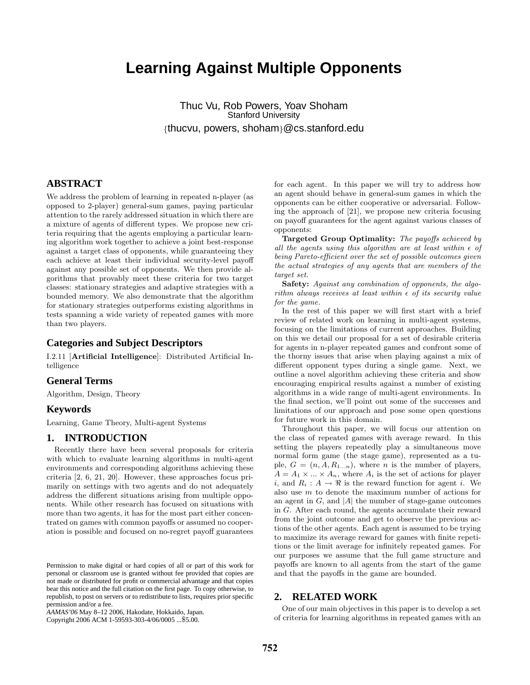# **Learning Against Multiple Opponents**

Thuc Vu, Rob Powers, Yoav Shoham Stanford University {thucvu, powers, shoham}@cs.stanford.edu

### **ABSTRACT**

We address the problem of learning in repeated n-player (as opposed to 2-player) general-sum games, paying particular attention to the rarely addressed situation in which there are a mixture of agents of different types. We propose new criteria requiring that the agents employing a particular learning algorithm work together to achieve a joint best-response against a target class of opponents, while guaranteeing they each achieve at least their individual security-level payoff against any possible set of opponents. We then provide algorithms that provably meet these criteria for two target classes: stationary strategies and adaptive strategies with a bounded memory. We also demonstrate that the algorithm for stationary strategies outperforms existing algorithms in tests spanning a wide variety of repeated games with more than two players.

### **Categories and Subject Descriptors**

I.2.11 [Artificial Intelligence]: Distributed Artificial Intelligence

### **General Terms**

Algorithm, Design, Theory

#### **Keywords**

Learning, Game Theory, Multi-agent Systems

### **1. INTRODUCTION**

Recently there have been several proposals for criteria with which to evaluate learning algorithms in multi-agent environments and corresponding algorithms achieving these criteria [2, 6, 21, 20]. However, these approaches focus primarily on settings with two agents and do not adequately address the different situations arising from multiple opponents. While other research has focused on situations with more than two agents, it has for the most part either concentrated on games with common payoffs or assumed no cooperation is possible and focused on no-regret payoff guarantees

Copyright 2006 ACM 1-59593-303-4/06/0005 ...\$5.00.

for each agent. In this paper we will try to address how an agent should behave in general-sum games in which the opponents can be either cooperative or adversarial. Following the approach of [21], we propose new criteria focusing on payoff guarantees for the agent against various classes of opponents:

Targeted Group Optimality: The payoffs achieved by all the agents using this algorithm are at least within  $\epsilon$  of being Pareto-efficient over the set of possible outcomes given the actual strategies of any agents that are members of the target set.

Safety: Against any combination of opponents, the algorithm always receives at least within  $\epsilon$  of its security value for the game.

In the rest of this paper we will first start with a brief review of related work on learning in multi-agent systems, focusing on the limitations of current approaches. Building on this we detail our proposal for a set of desirable criteria for agents in n-player repeated games and confront some of the thorny issues that arise when playing against a mix of different opponent types during a single game. Next, we outline a novel algorithm achieving these criteria and show encouraging empirical results against a number of existing algorithms in a wide range of multi-agent environments. In the final section, we'll point out some of the successes and limitations of our approach and pose some open questions for future work in this domain.

Throughout this paper, we will focus our attention on the class of repeated games with average reward. In this setting the players repeatedly play a simultaneous move normal form game (the stage game), represented as a tuple,  $G = (n, A, R_{1...n})$ , where *n* is the number of players,  $A = A_1 \times ... \times A_n$ , where  $A_i$  is the set of actions for player i, and  $R_i: A \to \mathbb{R}$  is the reward function for agent i. We also use m to denote the maximum number of actions for an agent in  $G$ , and  $|A|$  the number of stage-game outcomes in G. After each round, the agents accumulate their reward from the joint outcome and get to observe the previous actions of the other agents. Each agent is assumed to be trying to maximize its average reward for games with finite repetitions or the limit average for infinitely repeated games. For our purposes we assume that the full game structure and payoffs are known to all agents from the start of the game and that the payoffs in the game are bounded.

# **2. RELATED WORK**

One of our main objectives in this paper is to develop a set of criteria for learning algorithms in repeated games with an

Permission to make digital or hard copies of all or part of this work for personal or classroom use is granted without fee provided that copies are not made or distributed for profit or commercial advantage and that copies bear this notice and the full citation on the first page. To copy otherwise, to republish, to post on servers or to redistribute to lists, requires prior specific permission and/or a fee.

*AAMAS'06* May 8–12 2006, Hakodate, Hokkaido, Japan.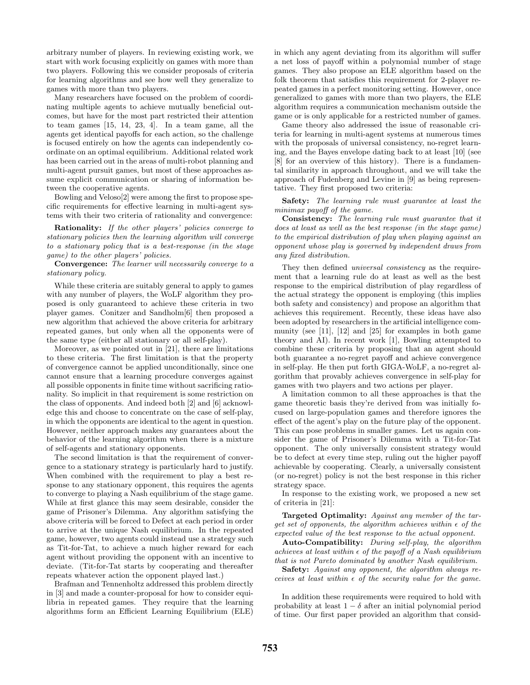arbitrary number of players. In reviewing existing work, we start with work focusing explicitly on games with more than two players. Following this we consider proposals of criteria for learning algorithms and see how well they generalize to games with more than two players.

Many researchers have focused on the problem of coordinating multiple agents to achieve mutually beneficial outcomes, but have for the most part restricted their attention to team games [15, 14, 23, 4]. In a team game, all the agents get identical payoffs for each action, so the challenge is focused entirely on how the agents can independently coordinate on an optimal equilibrium. Additional related work has been carried out in the areas of multi-robot planning and multi-agent pursuit games, but most of these approaches assume explicit communication or sharing of information between the cooperative agents.

Bowling and Veloso[2] were among the first to propose specific requirements for effective learning in multi-agent systems with their two criteria of rationality and convergence:

Rationality: If the other players' policies converge to stationary policies then the learning algorithm will converge to a stationary policy that is a best-response (in the stage game) to the other players' policies.

Convergence: The learner will necessarily converge to a stationary policy.

While these criteria are suitably general to apply to games with any number of players, the WoLF algorithm they proposed is only guaranteed to achieve these criteria in two player games. Conitzer and Sandholm[6] then proposed a new algorithm that achieved the above criteria for arbitrary repeated games, but only when all the opponents were of the same type (either all stationary or all self-play).

Moreover, as we pointed out in [21], there are limitations to these criteria. The first limitation is that the property of convergence cannot be applied unconditionally, since one cannot ensure that a learning procedure converges against all possible opponents in finite time without sacrificing rationality. So implicit in that requirement is some restriction on the class of opponents. And indeed both [2] and [6] acknowledge this and choose to concentrate on the case of self-play, in which the opponents are identical to the agent in question. However, neither approach makes any guarantees about the behavior of the learning algorithm when there is a mixture of self-agents and stationary opponents.

The second limitation is that the requirement of convergence to a stationary strategy is particularly hard to justify. When combined with the requirement to play a best response to any stationary opponent, this requires the agents to converge to playing a Nash equilibrium of the stage game. While at first glance this may seem desirable, consider the game of Prisoner's Dilemma. Any algorithm satisfying the above criteria will be forced to Defect at each period in order to arrive at the unique Nash equilibrium. In the repeated game, however, two agents could instead use a strategy such as Tit-for-Tat, to achieve a much higher reward for each agent without providing the opponent with an incentive to deviate. (Tit-for-Tat starts by cooperating and thereafter repeats whatever action the opponent played last.)

Brafman and Tennenholtz addressed this problem directly in [3] and made a counter-proposal for how to consider equilibria in repeated games. They require that the learning algorithms form an Efficient Learning Equilibrium (ELE)

in which any agent deviating from its algorithm will suffer a net loss of payoff within a polynomial number of stage games. They also propose an ELE algorithm based on the folk theorem that satisfies this requirement for 2-player repeated games in a perfect monitoring setting. However, once generalized to games with more than two players, the ELE algorithm requires a communication mechanism outside the game or is only applicable for a restricted number of games.

Game theory also addressed the issue of reasonable criteria for learning in multi-agent systems at numerous times with the proposals of universal consistency, no-regret learning, and the Bayes envelope dating back to at least [10] (see [8] for an overview of this history). There is a fundamental similarity in approach throughout, and we will take the approach of Fudenberg and Levine in [9] as being representative. They first proposed two criteria:

Safety: The learning rule must guarantee at least the minimax payoff of the game.

Consistency: The learning rule must guarantee that it does at least as well as the best response (in the stage game) to the empirical distribution of play when playing against an opponent whose play is governed by independent draws from any fixed distribution.

They then defined *universal consistency* as the requirement that a learning rule do at least as well as the best response to the empirical distribution of play regardless of the actual strategy the opponent is employing (this implies both safety and consistency) and propose an algorithm that achieves this requirement. Recently, these ideas have also been adopted by researchers in the artificial intelligence community (see [11], [12] and [25] for examples in both game theory and AI). In recent work [1], Bowling attempted to combine these criteria by proposing that an agent should both guarantee a no-regret payoff and achieve convergence in self-play. He then put forth GIGA-WoLF, a no-regret algorithm that provably achieves convergence in self-play for games with two players and two actions per player.

A limitation common to all these approaches is that the game theoretic basis they're derived from was initially focused on large-population games and therefore ignores the effect of the agent's play on the future play of the opponent. This can pose problems in smaller games. Let us again consider the game of Prisoner's Dilemma with a Tit-for-Tat opponent. The only universally consistent strategy would be to defect at every time step, ruling out the higher payoff achievable by cooperating. Clearly, a universally consistent (or no-regret) policy is not the best response in this richer strategy space.

In response to the existing work, we proposed a new set of criteria in [21]:

Targeted Optimality: Against any member of the target set of opponents, the algorithm achieves within  $\epsilon$  of the expected value of the best response to the actual opponent.

Auto-Compatibility: During self-play, the algorithm achieves at least within  $\epsilon$  of the payoff of a Nash equilibrium that is not Pareto dominated by another Nash equilibrium.

Safety: Against any opponent, the algorithm always receives at least within  $\epsilon$  of the security value for the game.

In addition these requirements were required to hold with probability at least  $1 - \delta$  after an initial polynomial period of time. Our first paper provided an algorithm that consid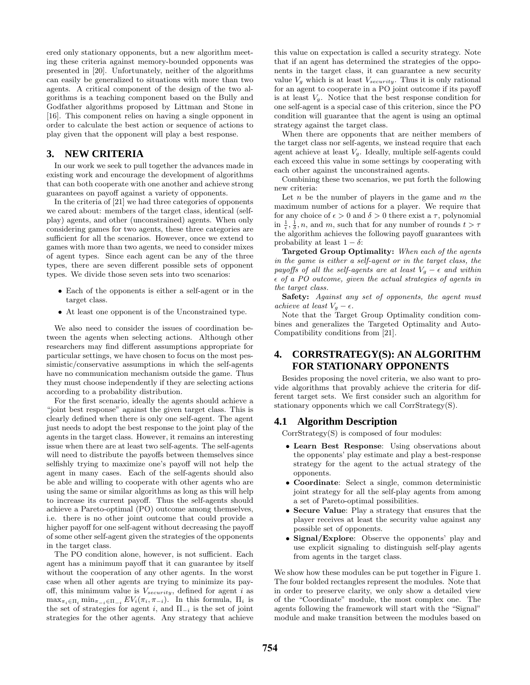ered only stationary opponents, but a new algorithm meeting these criteria against memory-bounded opponents was presented in [20]. Unfortunately, neither of the algorithms can easily be generalized to situations with more than two agents. A critical component of the design of the two algorithms is a teaching component based on the Bully and Godfather algorithms proposed by Littman and Stone in [16]. This component relies on having a single opponent in order to calculate the best action or sequence of actions to play given that the opponent will play a best response.

### **3. NEW CRITERIA**

In our work we seek to pull together the advances made in existing work and encourage the development of algorithms that can both cooperate with one another and achieve strong guarantees on payoff against a variety of opponents.

In the criteria of [21] we had three categories of opponents we cared about: members of the target class, identical (selfplay) agents, and other (unconstrained) agents. When only considering games for two agents, these three categories are sufficient for all the scenarios. However, once we extend to games with more than two agents, we need to consider mixes of agent types. Since each agent can be any of the three types, there are seven different possible sets of opponent types. We divide those seven sets into two scenarios:

- Each of the opponents is either a self-agent or in the target class.
- At least one opponent is of the Unconstrained type.

We also need to consider the issues of coordination between the agents when selecting actions. Although other researchers may find different assumptions appropriate for particular settings, we have chosen to focus on the most pessimistic/conservative assumptions in which the self-agents have no communication mechanism outside the game. Thus they must choose independently if they are selecting actions according to a probability distribution.

For the first scenario, ideally the agents should achieve a "joint best response" against the given target class. This is clearly defined when there is only one self-agent. The agent just needs to adopt the best response to the joint play of the agents in the target class. However, it remains an interesting issue when there are at least two self-agents. The self-agents will need to distribute the payoffs between themselves since selfishly trying to maximize one's payoff will not help the agent in many cases. Each of the self-agents should also be able and willing to cooperate with other agents who are using the same or similar algorithms as long as this will help to increase its current payoff. Thus the self-agents should achieve a Pareto-optimal (PO) outcome among themselves, i.e. there is no other joint outcome that could provide a higher payoff for one self-agent without decreasing the payoff of some other self-agent given the strategies of the opponents in the target class.

The PO condition alone, however, is not sufficient. Each agent has a minimum payoff that it can guarantee by itself without the cooperation of any other agents. In the worst case when all other agents are trying to minimize its payoff, this minimum value is  $V_{security}$ , defined for agent i as  $\max_{\pi_i \in \Pi_i} \min_{\pi_{-i} \in \Pi_{-i}} EV_i(\pi_i, \pi_{-i}).$  In this formula,  $\Pi_i$  is the set of strategies for agent i, and  $\Pi_{-i}$  is the set of joint strategies for the other agents. Any strategy that achieve this value on expectation is called a security strategy. Note that if an agent has determined the strategies of the opponents in the target class, it can guarantee a new security value  $V_g$  which is at least  $V_{security}$ . Thus it is only rational for an agent to cooperate in a PO joint outcome if its payoff is at least  $V_g$ . Notice that the best response condition for one self-agent is a special case of this criterion, since the PO condition will guarantee that the agent is using an optimal strategy against the target class.

When there are opponents that are neither members of the target class nor self-agents, we instead require that each agent achieve at least  $V_g$ . Ideally, multiple self-agents could each exceed this value in some settings by cooperating with each other against the unconstrained agents.

Combining these two scenarios, we put forth the following new criteria:

Let  $n$  be the number of players in the game and  $m$  the maximum number of actions for a player. We require that for any choice of  $\epsilon > 0$  and  $\delta > 0$  there exist a  $\tau$ , polynomial in  $\frac{1}{\epsilon}, \frac{1}{\delta}, n$ , and m, such that for any number of rounds  $t > \tau$ the algorithm achieves the following payoff guarantees with probability at least  $1 - \delta$ :

Targeted Group Optimality: When each of the agents in the game is either a self-agent or in the target class, the payoffs of all the self-agents are at least  $V_g - \epsilon$  and within  $\epsilon$  of a PO outcome, given the actual strategies of agents in the target class.

Safety: Against any set of opponents, the agent must achieve at least  $V_g - \epsilon$ .

Note that the Target Group Optimality condition combines and generalizes the Targeted Optimality and Auto-Compatibility conditions from [21].

# **4. CORRSTRATEGY(S): AN ALGORITHM FOR STATIONARY OPPONENTS**

Besides proposing the novel criteria, we also want to provide algorithms that provably achieve the criteria for different target sets. We first consider such an algorithm for stationary opponents which we call CorrStrategy(S).

#### **4.1 Algorithm Description**

CorrStrategy(S) is composed of four modules:

- Learn Best Response: Using observations about the opponents' play estimate and play a best-response strategy for the agent to the actual strategy of the opponents.
- Coordinate: Select a single, common deterministic joint strategy for all the self-play agents from among a set of Pareto-optimal possibilities.
- Secure Value: Play a strategy that ensures that the player receives at least the security value against any possible set of opponents.
- Signal/Explore: Observe the opponents' play and use explicit signaling to distinguish self-play agents from agents in the target class.

We show how these modules can be put together in Figure 1. The four bolded rectangles represent the modules. Note that in order to preserve clarity, we only show a detailed view of the "Coordinate" module, the most complex one. The agents following the framework will start with the "Signal" module and make transition between the modules based on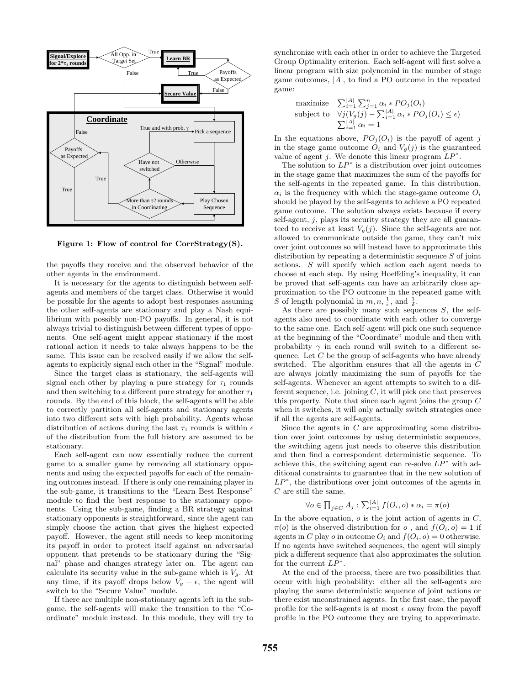

Figure 1: Flow of control for CorrStrategy(S).

the payoffs they receive and the observed behavior of the other agents in the environment.

It is necessary for the agents to distinguish between selfagents and members of the target class. Otherwise it would be possible for the agents to adopt best-responses assuming the other self-agents are stationary and play a Nash equilibrium with possibly non-PO payoffs. In general, it is not always trivial to distinguish between different types of opponents. One self-agent might appear stationary if the most rational action it needs to take always happens to be the same. This issue can be resolved easily if we allow the selfagents to explicitly signal each other in the "Signal" module.

Since the target class is stationary, the self-agents will signal each other by playing a pure strategy for  $\tau_1$  rounds and then switching to a different pure strategy for another  $\tau_1$ rounds. By the end of this block, the self-agents will be able to correctly partition all self-agents and stationary agents into two different sets with high probability. Agents whose distribution of actions during the last  $\tau_1$  rounds is within  $\epsilon$ of the distribution from the full history are assumed to be stationary.

Each self-agent can now essentially reduce the current game to a smaller game by removing all stationary opponents and using the expected payoffs for each of the remaining outcomes instead. If there is only one remaining player in the sub-game, it transitions to the "Learn Best Response" module to find the best response to the stationary opponents. Using the sub-game, finding a BR strategy against stationary opponents is straightforward, since the agent can simply choose the action that gives the highest expected payoff. However, the agent still needs to keep monitoring its payoff in order to protect itself against an adversarial opponent that pretends to be stationary during the "Signal" phase and changes strategy later on. The agent can calculate its security value in the sub-game which is  $V_a$ . At any time, if its payoff drops below  $V_g - \epsilon$ , the agent will switch to the "Secure Value" module.

If there are multiple non-stationary agents left in the subgame, the self-agents will make the transition to the "Coordinate" module instead. In this module, they will try to synchronize with each other in order to achieve the Targeted Group Optimality criterion. Each self-agent will first solve a linear program with size polynomial in the number of stage game outcomes, |A|, to find a PO outcome in the repeated game:

maximize 
$$
\sum_{i=1}^{|A|} \sum_{j=1}^{n} \alpha_i * PO_j(O_i)
$$
subject to 
$$
\forall j(V_g(j) - \sum_{i=1}^{|A|} \alpha_i * PO_j(O_i) \le \epsilon)
$$

$$
\sum_{i=1}^{|A|} \alpha_i = 1
$$

In the equations above,  $PO_j(O_i)$  is the payoff of agent j in the stage game outcome  $O_i$  and  $V_q(j)$  is the guaranteed value of agent j. We denote this linear program  $LP^*$ .

The solution to  $LP^*$  is a distribution over joint outcomes in the stage game that maximizes the sum of the payoffs for the self-agents in the repeated game. In this distribution,  $\alpha_i$  is the frequency with which the stage-game outcome  $O_i$ should be played by the self-agents to achieve a PO repeated game outcome. The solution always exists because if every self-agent,  $j$ , plays its security strategy they are all guaranteed to receive at least  $V_g(j)$ . Since the self-agents are not allowed to communicate outside the game, they can't mix over joint outcomes so will instead have to approximate this distribution by repeating a deterministic sequence S of joint actions. S will specify which action each agent needs to choose at each step. By using Hoeffding's inequality, it can be proved that self-agents can have an arbitrarily close approximation to the PO outcome in the repeated game with S of length polynomial in  $m, n, \frac{1}{\epsilon}$ , and  $\frac{1}{\delta}$ .

As there are possibly many such sequences  $S$ , the selfagents also need to coordinate with each other to converge to the same one. Each self-agent will pick one such sequence at the beginning of the "Coordinate" module and then with probability  $\gamma$  in each round will switch to a different sequence. Let  $C$  be the group of self-agents who have already switched. The algorithm ensures that all the agents in C are always jointly maximizing the sum of payoffs for the self-agents. Whenever an agent attempts to switch to a different sequence, i.e. joining  $C$ , it will pick one that preserves this property. Note that since each agent joins the group C when it switches, it will only actually switch strategies once if all the agents are self-agents.

Since the agents in  $C$  are approximating some distribution over joint outcomes by using deterministic sequences, the switching agent just needs to observe this distribution and then find a correspondent deterministic sequence. To achieve this, the switching agent can re-solve  $LP^*$  with additional constraints to guarantee that in the new solution of LP<sup>∗</sup> , the distributions over joint outcomes of the agents in C are still the same.

$$
\forall o \in \prod_{j \in C} A_j : \sum_{i=1}^{|A|} f(O_i, o) * \alpha_i = \pi(o)
$$

In the above equation,  $o$  is the joint action of agents in  $C$ ,  $\pi(o)$  is the observed distribution for o, and  $f(O_i, o) = 1$  if agents in C play o in outcome  $O_i$  and  $f(O_i, o) = 0$  otherwise. If no agents have switched sequences, the agent will simply pick a different sequence that also approximates the solution for the current  $LP^*$ .

At the end of the process, there are two possibilities that occur with high probability: either all the self-agents are playing the same deterministic sequence of joint actions or there exist unconstrained agents. In the first case, the payoff profile for the self-agents is at most  $\epsilon$  away from the payoff profile in the PO outcome they are trying to approximate.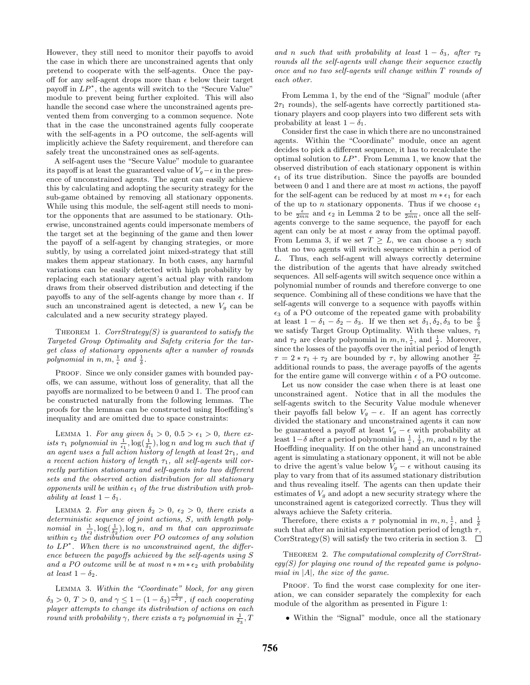However, they still need to monitor their payoffs to avoid the case in which there are unconstrained agents that only pretend to cooperate with the self-agents. Once the payoff for any self-agent drops more than  $\epsilon$  below their target payoff in  $LP^*$ , the agents will switch to the "Secure Value" module to prevent being further exploited. This will also handle the second case where the unconstrained agents prevented them from converging to a common sequence. Note that in the case the unconstrained agents fully cooperate with the self-agents in a PO outcome, the self-agents will implicitly achieve the Safety requirement, and therefore can safely treat the unconstrained ones as self-agents.

A self-agent uses the "Secure Value" module to guarantee its payoff is at least the guaranteed value of  $V_g$ − $\epsilon$  in the presence of unconstrained agents. The agent can easily achieve this by calculating and adopting the security strategy for the sub-game obtained by removing all stationary opponents. While using this module, the self-agent still needs to monitor the opponents that are assumed to be stationary. Otherwise, unconstrained agents could impersonate members of the target set at the beginning of the game and then lower the payoff of a self-agent by changing strategies, or more subtly, by using a correlated joint mixed-strategy that still makes them appear stationary. In both cases, any harmful variations can be easily detected with high probability by replacing each stationary agent's actual play with random draws from their observed distribution and detecting if the payoffs to any of the self-agents change by more than  $\epsilon$ . If such an unconstrained agent is detected, a new  $V_g$  can be calculated and a new security strategy played.

THEOREM 1. CorrStrategy(S) is guaranteed to satisfy the Targeted Group Optimality and Safety criteria for the target class of stationary opponents after a number of rounds polynomial in  $n, m, \frac{1}{\epsilon}$  and  $\frac{1}{\delta}$ .

PROOF. Since we only consider games with bounded payoffs, we can assume, without loss of generality, that all the payoffs are normalized to be between 0 and 1. The proof can be constructed naturally from the following lemmas. The proofs for the lemmas can be constructed using Hoeffding's inequality and are omitted due to space constraints:

LEMMA 1. For any given  $\delta_1 > 0$ ,  $0.5 > \epsilon_1 > 0$ , there exists  $\tau_1$  polynomial in  $\frac{1}{\epsilon_1}$ ,  $\log(\frac{1}{\delta_1})$ ,  $\log n$  and  $\log m$  such that if an agent uses a full action history of length at least  $2\tau_1$ , and a recent action history of length  $\tau_1$ , all self-agents will correctly partition stationary and self-agents into two different sets and the observed action distribution for all stationary opponents will be within  $\epsilon_1$  of the true distribution with probability at least  $1 - \delta_1$ .

LEMMA 2. For any given  $\delta_2 > 0$ ,  $\epsilon_2 > 0$ , there exists a deterministic sequence of joint actions, S, with length polynomial in  $\frac{1}{\epsilon_2}$ ,  $\log(\frac{1}{\delta_2})$ ,  $\log n$ , and m that can approximate within  $\epsilon_2$  the distribution over PO outcomes of any solution to  $LP^*$ . When there is no unconstrained agent, the difference between the payoffs achieved by the self-agents using S and a PO outcome will be at most  $n * m * \epsilon_2$  with probability at least  $1 - \delta_2$ .

Lemma 3. Within the "Coordinate" block, for any given  $\delta_3 > 0, T > 0, \text{ and } \gamma \leq 1 - (1 - \delta_3)^{\frac{1}{n^2 T}}, \text{ if each cooperating}$ player attempts to change its distribution of actions on each round with probability  $\gamma$ , there exists a  $\tau_2$  polynomial in  $\frac{1}{\delta_3}$ , T

and n such that with probability at least  $1 - \delta_3$ , after  $\tau_2$ rounds all the self-agents will change their sequence exactly once and no two self-agents will change within T rounds of each other.

From Lemma 1, by the end of the "Signal" module (after  $2\tau_1$  rounds), the self-agents have correctly partitioned stationary players and coop players into two different sets with probability at least  $1 - \delta_1$ .

Consider first the case in which there are no unconstrained agents. Within the "Coordinate" module, once an agent decides to pick a different sequence, it has to recalculate the optimal solution to  $LP^*$ . From Lemma 1, we know that the observed distribution of each stationary opponent is within  $\epsilon_1$  of its true distribution. Since the payoffs are bounded between  $0$  and  $1$  and there are at most  $m$  actions, the payoff for the self-agent can be reduced by at most  $m * \epsilon_1$  for each of the up to  $n$  stationary opponents. Thus if we choose  $\epsilon_1$ to be  $\frac{\epsilon}{2mn}$  and  $\epsilon_2$  in Lemma 2 to be  $\frac{\epsilon}{2mn}$ , once all the selfagents converge to the same sequence, the payoff for each agent can only be at most  $\epsilon$  away from the optimal payoff. From Lemma 3, if we set  $T > L$ , we can choose a  $\gamma$  such that no two agents will switch sequence within a period of L. Thus, each self-agent will always correctly determine the distribution of the agents that have already switched sequences. All self-agents will switch sequence once within a polynomial number of rounds and therefore converge to one sequence. Combining all of these conditions we have that the self-agents will converge to a sequence with payoffs within  $\epsilon_3$  of a PO outcome of the repeated game with probability at least  $1 - \delta_1 - \delta_2 - \delta_3$ . If we then set  $\delta_1, \delta_2, \delta_3$  to be  $\frac{\delta_3}{3}$ we satisfy Target Group Optimality. With these values,  $\tau_1$ and  $\tau_2$  are clearly polynomial in  $m, n, \frac{1}{\epsilon}$ , and  $\frac{1}{\delta}$ . Moreover, since the losses of the payoffs over the initial period of length  $\tau = 2 * \tau_1 + \tau_2$  are bounded by  $\tau$ , by allowing another  $\frac{2\tau}{\epsilon}$ additional rounds to pass, the average payoffs of the agents for the entire game will converge within  $\epsilon$  of a PO outcome.

Let us now consider the case when there is at least one unconstrained agent. Notice that in all the modules the self-agents switch to the Security Value module whenever their payoffs fall below  $V_g - \epsilon$ . If an agent has correctly divided the stationary and unconstrained agents it can now be guaranteed a payoff at least  $V_g - \epsilon$  with probability at least  $1-\delta$  after a period polynomial in  $\frac{1}{\epsilon}, \frac{1}{\delta}, m$ , and n by the Hoeffding inequality. If on the other hand an unconstrained agent is simulating a stationary opponent, it will not be able to drive the agent's value below  $V_g - \epsilon$  without causing its play to vary from that of its assumed stationary distribution and thus revealing itself. The agents can then update their estimates of  $V_g$  and adopt a new security strategy where the unconstrained agent is categorized correctly. Thus they will always achieve the Safety criteria.

Therefore, there exists a  $\tau$  polynomial in  $m, n, \frac{1}{\epsilon}$ , and  $\frac{1}{\delta}$ such that after an initial experimentation period of length  $\tau$ , CorrStrategy(S) will satisfy the two criteria in section 3.  $\Box$ 

THEOREM 2. The computational complexity of CorrStrat $eqy(S)$  for playing one round of the repeated game is polynomial in  $|A|$ , the size of the game.

PROOF. To find the worst case complexity for one iteration, we can consider separately the complexity for each module of the algorithm as presented in Figure 1:

• Within the "Signal" module, once all the stationary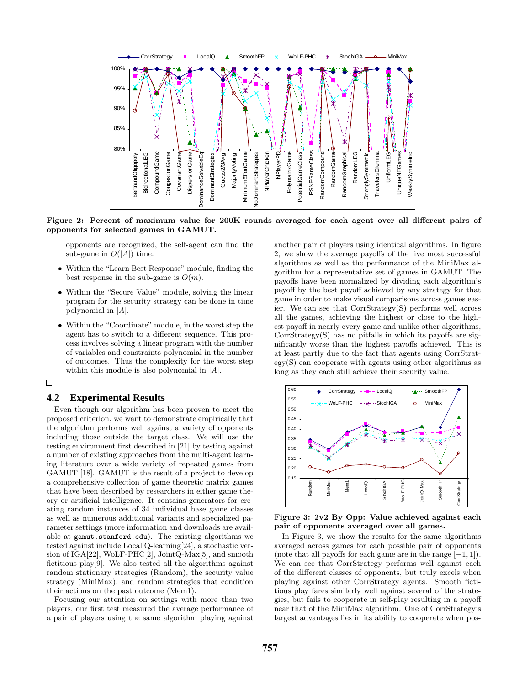

Figure 2: Percent of maximum value for 200K rounds averaged for each agent over all different pairs of opponents for selected games in GAMUT.

opponents are recognized, the self-agent can find the sub-game in  $O(|A|)$  time.

- Within the "Learn Best Response" module, finding the best response in the sub-game is  $O(m)$ .
- Within the "Secure Value" module, solving the linear program for the security strategy can be done in time polynomial in  $|A|$ .
- Within the "Coordinate" module, in the worst step the agent has to switch to a different sequence. This process involves solving a linear program with the number of variables and constraints polynomial in the number of outcomes. Thus the complexity for the worst step within this module is also polynomial in  $|A|$ .

### $\Box$

### **4.2 Experimental Results**

Even though our algorithm has been proven to meet the proposed criterion, we want to demonstrate empirically that the algorithm performs well against a variety of opponents including those outside the target class. We will use the testing environment first described in [21] by testing against a number of existing approaches from the multi-agent learning literature over a wide variety of repeated games from GAMUT [18]. GAMUT is the result of a project to develop a comprehensive collection of game theoretic matrix games that have been described by researchers in either game theory or artificial intelligence. It contains generators for creating random instances of 34 individual base game classes as well as numerous additional variants and specialized parameter settings (more information and downloads are available at gamut.stanford.edu). The existing algorithms we tested against include Local Q-learning[24], a stochastic version of IGA[22], WoLF-PHC[2], JointQ-Max[5], and smooth fictitious play[9]. We also tested all the algorithms against random stationary strategies (Random), the security value strategy (MiniMax), and random strategies that condition their actions on the past outcome (Mem1).

Focusing our attention on settings with more than two players, our first test measured the average performance of a pair of players using the same algorithm playing against

another pair of players using identical algorithms. In figure 2, we show the average payoffs of the five most successful algorithms as well as the performance of the MiniMax algorithm for a representative set of games in GAMUT. The payoffs have been normalized by dividing each algorithm's payoff by the best payoff achieved by any strategy for that game in order to make visual comparisons across games easier. We can see that CorrStrategy(S) performs well across all the games, achieving the highest or close to the highest payoff in nearly every game and unlike other algorithms, CorrStrategy(S) has no pitfalls in which its payoffs are significantly worse than the highest payoffs achieved. This is at least partly due to the fact that agents using CorrStrat $egy(S)$  can cooperate with agents using other algorithms as long as they each still achieve their security value.



Figure 3: 2v2 By Opp: Value achieved against each pair of opponents averaged over all games.

In Figure 3, we show the results for the same algorithms averaged across games for each possible pair of opponents (note that all payoffs for each game are in the range  $[-1, 1]$ ). We can see that CorrStrategy performs well against each of the different classes of opponents, but truly excels when playing against other CorrStrategy agents. Smooth fictitious play fares similarly well against several of the strategies, but fails to cooperate in self-play resulting in a payoff near that of the MiniMax algorithm. One of CorrStrategy's largest advantages lies in its ability to cooperate when pos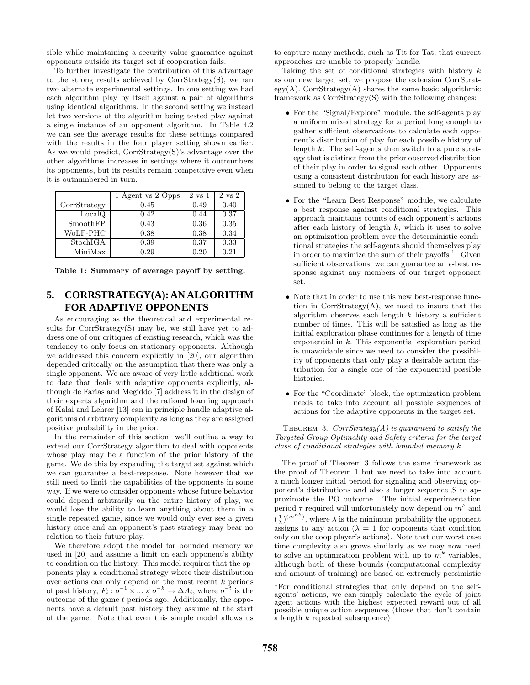sible while maintaining a security value guarantee against opponents outside its target set if cooperation fails.

To further investigate the contribution of this advantage to the strong results achieved by CorrStrategy(S), we ran two alternate experimental settings. In one setting we had each algorithm play by itself against a pair of algorithms using identical algorithms. In the second setting we instead let two versions of the algorithm being tested play against a single instance of an opponent algorithm. In Table 4.2 we can see the average results for these settings compared with the results in the four player setting shown earlier. As we would predict, CorrStrategy(S)'s advantage over the other algorithms increases in settings where it outnumbers its opponents, but its results remain competitive even when it is outnumbered in turn.

|              | 1 Agent vs 2 Opps | $2 \text{ vs } 1$ | $2 \text{ vs } 2$ |
|--------------|-------------------|-------------------|-------------------|
| CorrStrategy | 0.45              | 0.49              | 0.40              |
| LocalQ       | 0.42              | 0.44              | 0.37              |
| SmoothFP     | 0.43              | 0.36              | 0.35              |
| WoLF-PHC     | 0.38              | 0.38              | 0.34              |
| StochIGA     | 0.39              | 0.37              | 0.33              |
| MiniMax      | 0.29              | 0.20              | 0.21              |

Table 1: Summary of average payoff by setting.

## **5. CORRSTRATEGY(A): AN ALGORITHM FOR ADAPTIVE OPPONENTS**

As encouraging as the theoretical and experimental results for CorrStrategy(S) may be, we still have yet to address one of our critiques of existing research, which was the tendency to only focus on stationary opponents. Although we addressed this concern explicitly in [20], our algorithm depended critically on the assumption that there was only a single opponent. We are aware of very little additional work to date that deals with adaptive opponents explicitly, although de Farias and Megiddo [7] address it in the design of their experts algorithm and the rational learning approach of Kalai and Lehrer [13] can in principle handle adaptive algorithms of arbitrary complexity as long as they are assigned positive probability in the prior.

In the remainder of this section, we'll outline a way to extend our CorrStrategy algorithm to deal with opponents whose play may be a function of the prior history of the game. We do this by expanding the target set against which we can guarantee a best-response. Note however that we still need to limit the capabilities of the opponents in some way. If we were to consider opponents whose future behavior could depend arbitrarily on the entire history of play, we would lose the ability to learn anything about them in a single repeated game, since we would only ever see a given history once and an opponent's past strategy may bear no relation to their future play.

We therefore adopt the model for bounded memory we used in [20] and assume a limit on each opponent's ability to condition on the history. This model requires that the opponents play a conditional strategy where their distribution over actions can only depend on the most recent  $k$  periods of past history,  $F_i : \overline{o}^{-1} \times ... \times \overline{o}^{-k} \to \Delta A_i$ , where  $\overline{o}^{-t}$  is the outcome of the game  $t$  periods ago. Additionally, the opponents have a default past history they assume at the start of the game. Note that even this simple model allows us to capture many methods, such as Tit-for-Tat, that current approaches are unable to properly handle.

Taking the set of conditional strategies with history  $k$ as our new target set, we propose the extension CorrStrat $egy(A)$ . CorrStrategy(A) shares the same basic algorithmic framework as CorrStrategy(S) with the following changes:

- For the "Signal/Explore" module, the self-agents play a uniform mixed strategy for a period long enough to gather sufficient observations to calculate each opponent's distribution of play for each possible history of length  $k$ . The self-agents then switch to a pure strategy that is distinct from the prior observed distribution of their play in order to signal each other. Opponents using a consistent distribution for each history are assumed to belong to the target class.
- For the "Learn Best Response" module, we calculate a best response against conditional strategies. This approach maintains counts of each opponent's actions after each history of length  $k$ , which it uses to solve an optimization problem over the deterministic conditional strategies the self-agents should themselves play in order to maximize the sum of their payoffs.<sup>1</sup>. Given sufficient observations, we can guarantee an  $\epsilon$ -best response against any members of our target opponent set.
- Note that in order to use this new best-response function in  $CorrStrategy(A)$ , we need to insure that the algorithm observes each length  $k$  history a sufficient number of times. This will be satisfied as long as the initial exploration phase continues for a length of time exponential in k. This exponential exploration period is unavoidable since we need to consider the possibility of opponents that only play a desirable action distribution for a single one of the exponential possible histories.
- For the "Coordinate" block, the optimization problem needs to take into account all possible sequences of actions for the adaptive opponents in the target set.

THEOREM 3. CorrStrategy(A) is guaranteed to satisfy the Targeted Group Optimality and Safety criteria for the target class of conditional strategies with bounded memory k.

The proof of Theorem 3 follows the same framework as the proof of Theorem 1 but we need to take into account a much longer initial period for signaling and observing opponent's distributions and also a longer sequence S to approximate the PO outcome. The initial experimentation period  $\tau$  required will unfortunately now depend on  $m^k$  and  $(\frac{1}{\lambda})^{(m^{nk})}$ , where  $\lambda$  is the minimum probability the opponent assigns to any action ( $\lambda = 1$  for opponents that condition only on the coop player's actions). Note that our worst case time complexity also grows similarly as we may now need to solve an optimization problem with up to  $m^k$  variables, although both of these bounds (computational complexity and amount of training) are based on extremely pessimistic

<sup>1</sup>For conditional strategies that only depend on the selfagents' actions, we can simply calculate the cycle of joint agent actions with the highest expected reward out of all possible unique action sequences (those that don't contain a length k repeated subsequence)